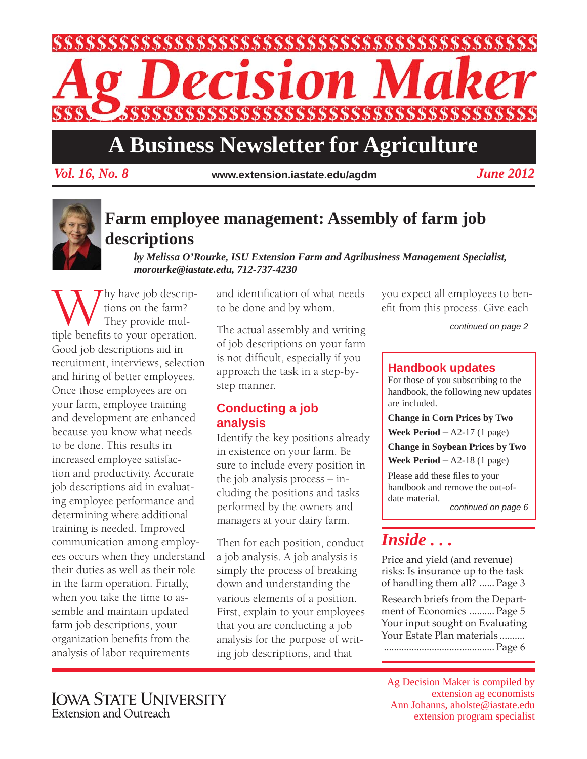

# **A Business Newsletter for Agriculture**

*Vol. 16, No. 8 June 2012* **www.extension.iastate.edu/agdm**



### **Farm employee management: Assembly of farm job descriptions**

*by Melissa O'Rourke, ISU Extension Farm and Agribusiness Management Specialist, morourke@iastate.edu, 712-737-4230*

Why have job descrip-<br>tions on the farm?<br>tiple benefits to your operation. tions on the farm? They provide mul-Good job descriptions aid in recruitment, interviews, selection and hiring of better employees. Once those employees are on your farm, employee training and development are enhanced because you know what needs to be done. This results in increased employee satisfaction and productivity. Accurate job descriptions aid in evaluating employee performance and determining where additional training is needed. Improved communication among employees occurs when they understand their duties as well as their role in the farm operation. Finally, when you take the time to assemble and maintain updated farm job descriptions, your organization benefits from the analysis of labor requirements

and identification of what needs to be done and by whom.

The actual assembly and writing of job descriptions on your farm is not difficult, especially if you approach the task in a step-bystep manner.

#### **Conducting a job analysis**

Identify the key positions already in existence on your farm. Be sure to include every position in the job analysis process – including the positions and tasks performed by the owners and managers at your dairy farm.

Then for each position, conduct a job analysis. A job analysis is simply the process of breaking down and understanding the various elements of a position. First, explain to your employees that you are conducting a job analysis for the purpose of writing job descriptions, and that

you expect all employees to benefit from this process. Give each

*continued on page 2*

#### **Handbook updates**

For those of you subscribing to the handbook, the following new updates are included.

**Change in Corn Prices by Two Week Period** – A2-17 (1 page)

**Change in Soybean Prices by Two** 

**Week Period** – A2-18 (1 page)

Please add these files to your handbook and remove the out-ofdate material.

*continued on page 6*

## *Inside . . .*

Price and yield (and revenue) risks: Is insurance up to the task of handling them all? ...... Page 3

Research briefs from the Department of Economics .......... Page 5 Your input sought on Evaluating Your Estate Plan materials .......... ............................................ Page 6

Ag Decision Maker is compiled by extension ag economists Ann Johanns, aholste@iastate.edu extension program specialist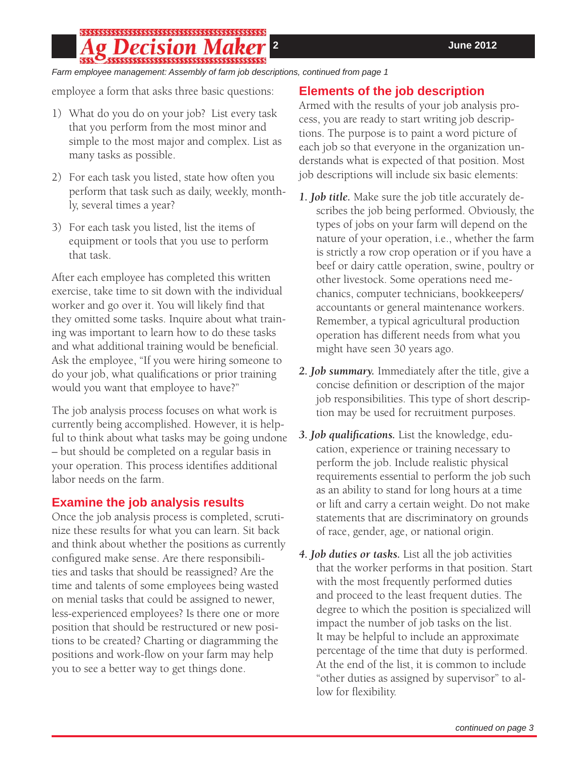#### 55555555555555555555555555555555555555

*Farm employee management: Assembly of farm job descriptions, continued from page 1*

employee a form that asks three basic questions:

- 1) What do you do on your job? List every task that you perform from the most minor and simple to the most major and complex. List as many tasks as possible.
- 2) For each task you listed, state how often you perform that task such as daily, weekly, monthly, several times a year?
- 3) For each task you listed, list the items of equipment or tools that you use to perform that task.

After each employee has completed this written exercise, take time to sit down with the individual worker and go over it. You will likely find that they omitted some tasks. Inquire about what training was important to learn how to do these tasks and what additional training would be beneficial. Ask the employee, "If you were hiring someone to do your job, what qualifications or prior training would you want that employee to have?"

The job analysis process focuses on what work is currently being accomplished. However, it is helpful to think about what tasks may be going undone – but should be completed on a regular basis in your operation. This process identifies additional labor needs on the farm.

#### **Examine the job analysis results**

Once the job analysis process is completed, scrutinize these results for what you can learn. Sit back and think about whether the positions as currently configured make sense. Are there responsibilities and tasks that should be reassigned? Are the time and talents of some employees being wasted on menial tasks that could be assigned to newer, less-experienced employees? Is there one or more position that should be restructured or new positions to be created? Charting or diagramming the positions and work-flow on your farm may help you to see a better way to get things done.

#### **Elements of the job description**

Armed with the results of your job analysis process, you are ready to start writing job descriptions. The purpose is to paint a word picture of each job so that everyone in the organization understands what is expected of that position. Most job descriptions will include six basic elements:

- *1. Job title.* Make sure the job title accurately describes the job being performed. Obviously, the types of jobs on your farm will depend on the nature of your operation, i.e., whether the farm is strictly a row crop operation or if you have a beef or dairy cattle operation, swine, poultry or other livestock. Some operations need mechanics, computer technicians, bookkeepers/ accountants or general maintenance workers. Remember, a typical agricultural production operation has different needs from what you might have seen 30 years ago.
- *2. Job summary.* Immediately after the title, give a concise definition or description of the major job responsibilities. This type of short description may be used for recruitment purposes.
- **3. Job qualifications.** List the knowledge, education, experience or training necessary to perform the job. Include realistic physical requirements essential to perform the job such as an ability to stand for long hours at a time or lift and carry a certain weight. Do not make statements that are discriminatory on grounds of race, gender, age, or national origin.
- *4. Job duties or tasks.* List all the job activities that the worker performs in that position. Start with the most frequently performed duties and proceed to the least frequent duties. The degree to which the position is specialized will impact the number of job tasks on the list. It may be helpful to include an approximate percentage of the time that duty is performed. At the end of the list, it is common to include "other duties as assigned by supervisor" to allow for flexibility.